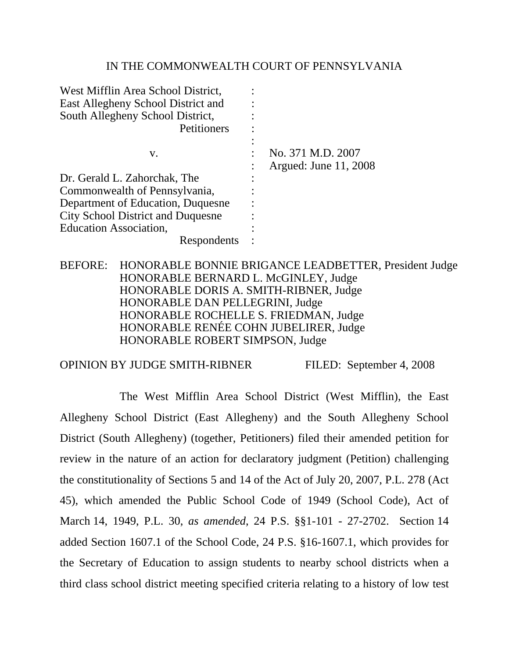#### IN THE COMMONWEALTH COURT OF PENNSYLVANIA

| No. 371 M.D. 2007     |
|-----------------------|
| Argued: June 11, 2008 |
|                       |
|                       |
|                       |
|                       |
|                       |
|                       |
|                       |

BEFORE: HONORABLE BONNIE BRIGANCE LEADBETTER, President Judge HONORABLE BERNARD L. McGINLEY, Judge HONORABLE DORIS A. SMITH-RIBNER, Judge HONORABLE DAN PELLEGRINI, Judge HONORABLE ROCHELLE S. FRIEDMAN, Judge HONORABLE RENÉE COHN JUBELIRER, Judge HONORABLE ROBERT SIMPSON, Judge

OPINION BY JUDGE SMITH-RIBNER FILED: September 4, 2008

 The West Mifflin Area School District (West Mifflin), the East Allegheny School District (East Allegheny) and the South Allegheny School District (South Allegheny) (together, Petitioners) filed their amended petition for review in the nature of an action for declaratory judgment (Petition) challenging the constitutionality of Sections 5 and 14 of the Act of July 20, 2007, P.L. 278 (Act 45), which amended the Public School Code of 1949 (School Code), Act of March 14, 1949, P.L. 30, *as amended*, 24 P.S. §§1-101 - 27-2702. Section 14 added Section 1607.1 of the School Code, 24 P.S. §16-1607.1, which provides for the Secretary of Education to assign students to nearby school districts when a third class school district meeting specified criteria relating to a history of low test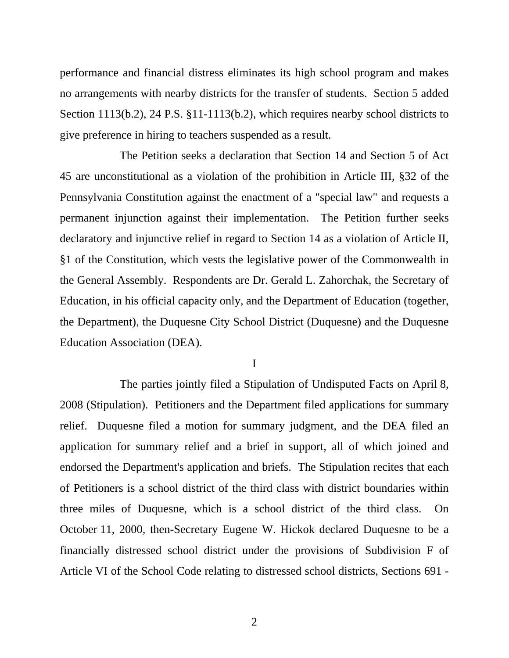performance and financial distress eliminates its high school program and makes no arrangements with nearby districts for the transfer of students. Section 5 added Section 1113(b.2), 24 P.S. §11-1113(b.2), which requires nearby school districts to give preference in hiring to teachers suspended as a result.

 The Petition seeks a declaration that Section 14 and Section 5 of Act 45 are unconstitutional as a violation of the prohibition in Article III, §32 of the Pennsylvania Constitution against the enactment of a "special law" and requests a permanent injunction against their implementation. The Petition further seeks declaratory and injunctive relief in regard to Section 14 as a violation of Article II, §1 of the Constitution, which vests the legislative power of the Commonwealth in the General Assembly. Respondents are Dr. Gerald L. Zahorchak, the Secretary of Education, in his official capacity only, and the Department of Education (together, the Department), the Duquesne City School District (Duquesne) and the Duquesne Education Association (DEA).

I

 The parties jointly filed a Stipulation of Undisputed Facts on April 8, 2008 (Stipulation). Petitioners and the Department filed applications for summary relief. Duquesne filed a motion for summary judgment, and the DEA filed an application for summary relief and a brief in support, all of which joined and endorsed the Department's application and briefs. The Stipulation recites that each of Petitioners is a school district of the third class with district boundaries within three miles of Duquesne, which is a school district of the third class. On October 11, 2000, then-Secretary Eugene W. Hickok declared Duquesne to be a financially distressed school district under the provisions of Subdivision F of Article VI of the School Code relating to distressed school districts, Sections 691 -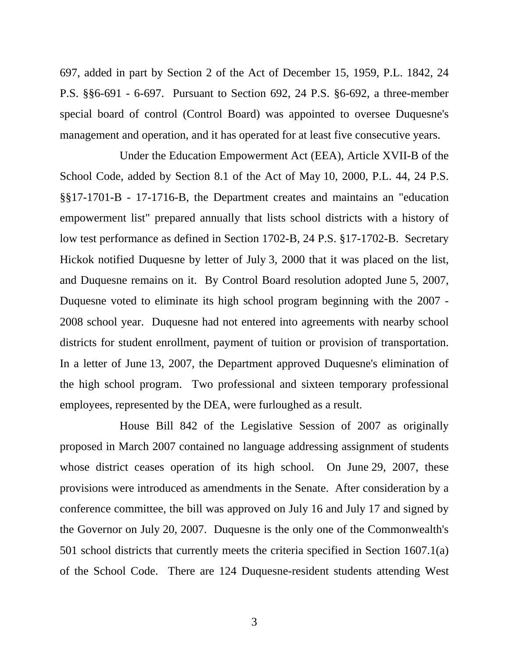697, added in part by Section 2 of the Act of December 15, 1959, P.L. 1842, 24 P.S. §§6-691 - 6-697. Pursuant to Section 692, 24 P.S. §6-692, a three-member special board of control (Control Board) was appointed to oversee Duquesne's management and operation, and it has operated for at least five consecutive years.

 Under the Education Empowerment Act (EEA), Article XVII-B of the School Code, added by Section 8.1 of the Act of May 10, 2000, P.L. 44, 24 P.S. §§17-1701-B - 17-1716-B, the Department creates and maintains an "education empowerment list" prepared annually that lists school districts with a history of low test performance as defined in Section 1702-B, 24 P.S. §17-1702-B. Secretary Hickok notified Duquesne by letter of July 3, 2000 that it was placed on the list, and Duquesne remains on it. By Control Board resolution adopted June 5, 2007, Duquesne voted to eliminate its high school program beginning with the 2007 - 2008 school year. Duquesne had not entered into agreements with nearby school districts for student enrollment, payment of tuition or provision of transportation. In a letter of June 13, 2007, the Department approved Duquesne's elimination of the high school program. Two professional and sixteen temporary professional employees, represented by the DEA, were furloughed as a result.

 House Bill 842 of the Legislative Session of 2007 as originally proposed in March 2007 contained no language addressing assignment of students whose district ceases operation of its high school. On June 29, 2007, these provisions were introduced as amendments in the Senate. After consideration by a conference committee, the bill was approved on July 16 and July 17 and signed by the Governor on July 20, 2007. Duquesne is the only one of the Commonwealth's 501 school districts that currently meets the criteria specified in Section 1607.1(a) of the School Code. There are 124 Duquesne-resident students attending West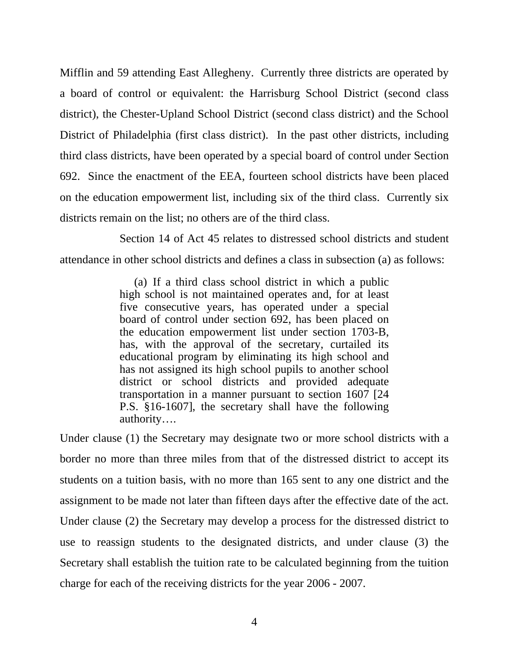Mifflin and 59 attending East Allegheny. Currently three districts are operated by a board of control or equivalent: the Harrisburg School District (second class district), the Chester-Upland School District (second class district) and the School District of Philadelphia (first class district). In the past other districts, including third class districts, have been operated by a special board of control under Section 692. Since the enactment of the EEA, fourteen school districts have been placed on the education empowerment list, including six of the third class. Currently six districts remain on the list; no others are of the third class.

 Section 14 of Act 45 relates to distressed school districts and student attendance in other school districts and defines a class in subsection (a) as follows:

> (a) If a third class school district in which a public high school is not maintained operates and, for at least five consecutive years, has operated under a special board of control under section 692, has been placed on the education empowerment list under section 1703-B, has, with the approval of the secretary, curtailed its educational program by eliminating its high school and has not assigned its high school pupils to another school district or school districts and provided adequate transportation in a manner pursuant to section 1607 [24 P.S. §16-1607], the secretary shall have the following authority….

Under clause (1) the Secretary may designate two or more school districts with a border no more than three miles from that of the distressed district to accept its students on a tuition basis, with no more than 165 sent to any one district and the assignment to be made not later than fifteen days after the effective date of the act. Under clause (2) the Secretary may develop a process for the distressed district to use to reassign students to the designated districts, and under clause (3) the Secretary shall establish the tuition rate to be calculated beginning from the tuition charge for each of the receiving districts for the year 2006 - 2007.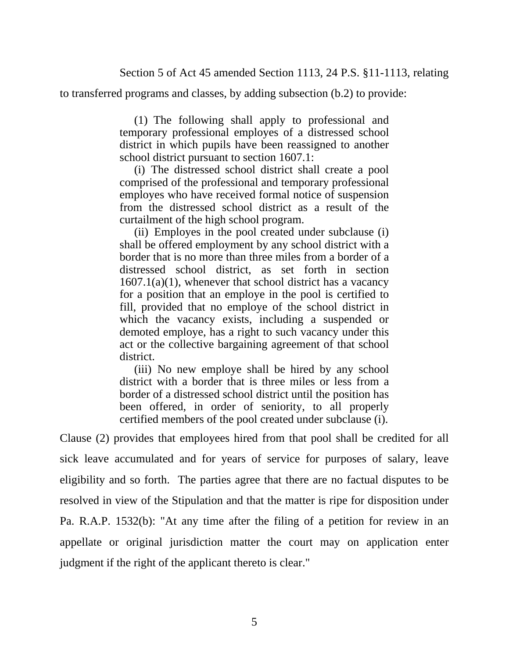to transferred programs and classes, by adding subsection (b.2) to provide:

 (1) The following shall apply to professional and temporary professional employes of a distressed school district in which pupils have been reassigned to another school district pursuant to section 1607.1:

 (i) The distressed school district shall create a pool comprised of the professional and temporary professional employes who have received formal notice of suspension from the distressed school district as a result of the curtailment of the high school program.

 (ii) Employes in the pool created under subclause (i) shall be offered employment by any school district with a border that is no more than three miles from a border of a distressed school district, as set forth in section  $1607.1(a)(1)$ , whenever that school district has a vacancy for a position that an employe in the pool is certified to fill, provided that no employe of the school district in which the vacancy exists, including a suspended or demoted employe, has a right to such vacancy under this act or the collective bargaining agreement of that school district.

 (iii) No new employe shall be hired by any school district with a border that is three miles or less from a border of a distressed school district until the position has been offered, in order of seniority, to all properly certified members of the pool created under subclause (i).

Clause (2) provides that employees hired from that pool shall be credited for all sick leave accumulated and for years of service for purposes of salary, leave eligibility and so forth. The parties agree that there are no factual disputes to be resolved in view of the Stipulation and that the matter is ripe for disposition under Pa. R.A.P. 1532(b): "At any time after the filing of a petition for review in an appellate or original jurisdiction matter the court may on application enter judgment if the right of the applicant thereto is clear."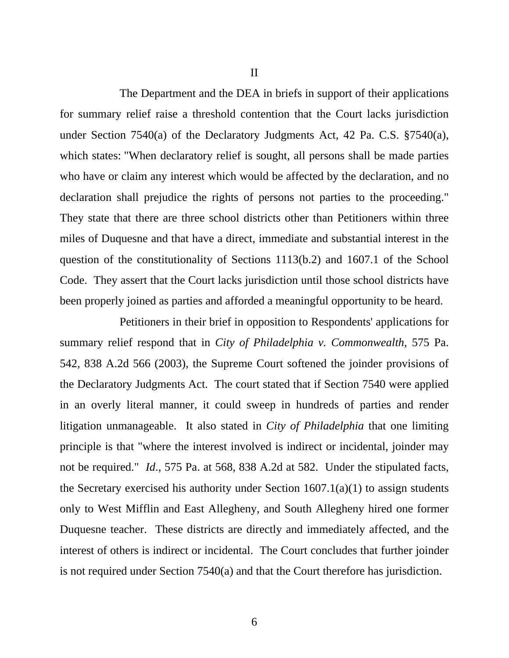II

 The Department and the DEA in briefs in support of their applications for summary relief raise a threshold contention that the Court lacks jurisdiction under Section 7540(a) of the Declaratory Judgments Act, 42 Pa. C.S. §7540(a), which states: "When declaratory relief is sought, all persons shall be made parties who have or claim any interest which would be affected by the declaration, and no declaration shall prejudice the rights of persons not parties to the proceeding." They state that there are three school districts other than Petitioners within three miles of Duquesne and that have a direct, immediate and substantial interest in the question of the constitutionality of Sections 1113(b.2) and 1607.1 of the School Code. They assert that the Court lacks jurisdiction until those school districts have been properly joined as parties and afforded a meaningful opportunity to be heard.

 Petitioners in their brief in opposition to Respondents' applications for summary relief respond that in *City of Philadelphia v. Commonwealth*, 575 Pa. 542, 838 A.2d 566 (2003), the Supreme Court softened the joinder provisions of the Declaratory Judgments Act. The court stated that if Section 7540 were applied in an overly literal manner, it could sweep in hundreds of parties and render litigation unmanageable. It also stated in *City of Philadelphia* that one limiting principle is that "where the interest involved is indirect or incidental, joinder may not be required." *Id*., 575 Pa. at 568, 838 A.2d at 582. Under the stipulated facts, the Secretary exercised his authority under Section  $1607.1(a)(1)$  to assign students only to West Mifflin and East Allegheny, and South Allegheny hired one former Duquesne teacher. These districts are directly and immediately affected, and the interest of others is indirect or incidental. The Court concludes that further joinder is not required under Section 7540(a) and that the Court therefore has jurisdiction.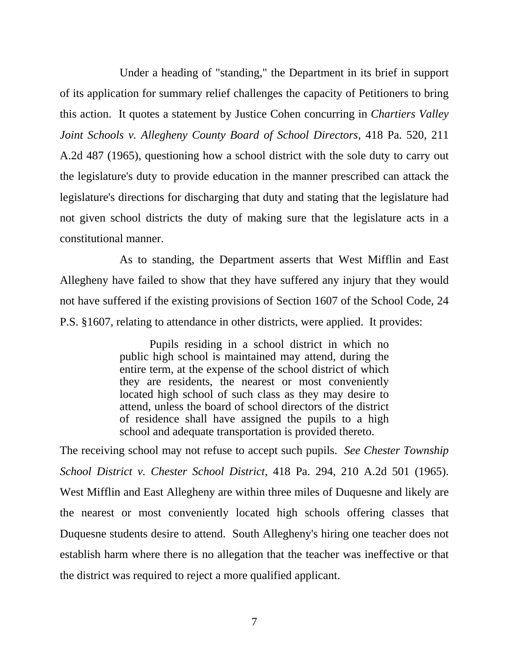Under a heading of "standing," the Department in its brief in support of its application for summary relief challenges the capacity of Petitioners to bring this action. It quotes a statement by Justice Cohen concurring in *Chartiers Valley Joint Schools v. Allegheny County Board of School Directors*, 418 Pa. 520, 211 A.2d 487 (1965), questioning how a school district with the sole duty to carry out the legislature's duty to provide education in the manner prescribed can attack the legislature's directions for discharging that duty and stating that the legislature had not given school districts the duty of making sure that the legislature acts in a constitutional manner.

 As to standing, the Department asserts that West Mifflin and East Allegheny have failed to show that they have suffered any injury that they would not have suffered if the existing provisions of Section 1607 of the School Code, 24 P.S. §1607, relating to attendance in other districts, were applied. It provides:

> Pupils residing in a school district in which no public high school is maintained may attend, during the entire term, at the expense of the school district of which they are residents, the nearest or most conveniently located high school of such class as they may desire to attend, unless the board of school directors of the district of residence shall have assigned the pupils to a high school and adequate transportation is provided thereto.

The receiving school may not refuse to accept such pupils. *See Chester Township School District v. Chester School District*, 418 Pa. 294, 210 A.2d 501 (1965). West Mifflin and East Allegheny are within three miles of Duquesne and likely are the nearest or most conveniently located high schools offering classes that Duquesne students desire to attend. South Allegheny's hiring one teacher does not establish harm where there is no allegation that the teacher was ineffective or that the district was required to reject a more qualified applicant.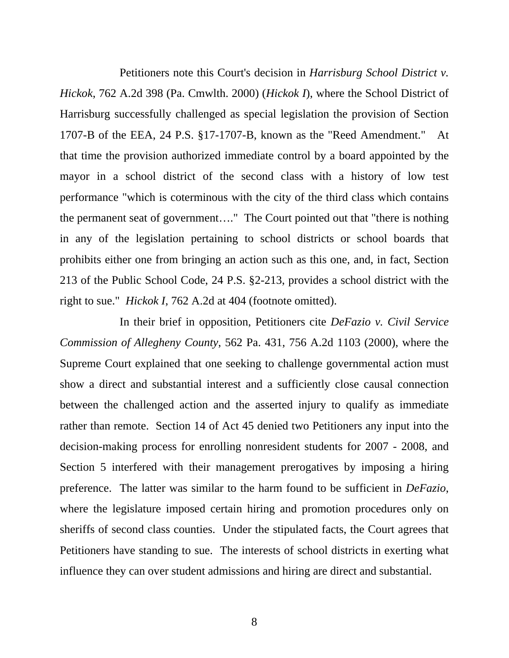Petitioners note this Court's decision in *Harrisburg School District v. Hickok*, 762 A.2d 398 (Pa. Cmwlth. 2000) (*Hickok I*), where the School District of Harrisburg successfully challenged as special legislation the provision of Section 1707-B of the EEA, 24 P.S. §17-1707-B, known as the "Reed Amendment." At that time the provision authorized immediate control by a board appointed by the mayor in a school district of the second class with a history of low test performance "which is coterminous with the city of the third class which contains the permanent seat of government…." The Court pointed out that "there is nothing in any of the legislation pertaining to school districts or school boards that prohibits either one from bringing an action such as this one, and, in fact, Section 213 of the Public School Code, 24 P.S. §2-213, provides a school district with the right to sue." *Hickok I*, 762 A.2d at 404 (footnote omitted).

 In their brief in opposition, Petitioners cite *DeFazio v. Civil Service Commission of Allegheny County*, 562 Pa. 431, 756 A.2d 1103 (2000), where the Supreme Court explained that one seeking to challenge governmental action must show a direct and substantial interest and a sufficiently close causal connection between the challenged action and the asserted injury to qualify as immediate rather than remote. Section 14 of Act 45 denied two Petitioners any input into the decision-making process for enrolling nonresident students for 2007 - 2008, and Section 5 interfered with their management prerogatives by imposing a hiring preference. The latter was similar to the harm found to be sufficient in *DeFazio*, where the legislature imposed certain hiring and promotion procedures only on sheriffs of second class counties. Under the stipulated facts, the Court agrees that Petitioners have standing to sue. The interests of school districts in exerting what influence they can over student admissions and hiring are direct and substantial.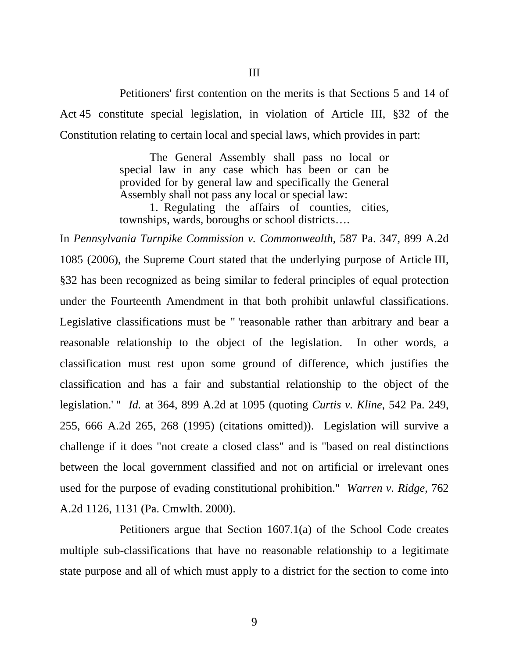Petitioners' first contention on the merits is that Sections 5 and 14 of Act 45 constitute special legislation, in violation of Article III, §32 of the Constitution relating to certain local and special laws, which provides in part:

> The General Assembly shall pass no local or special law in any case which has been or can be provided for by general law and specifically the General Assembly shall not pass any local or special law:

> 1. Regulating the affairs of counties, cities, townships, wards, boroughs or school districts….

In *Pennsylvania Turnpike Commission v. Commonwealth*, 587 Pa. 347, 899 A.2d 1085 (2006), the Supreme Court stated that the underlying purpose of Article III, §32 has been recognized as being similar to federal principles of equal protection under the Fourteenth Amendment in that both prohibit unlawful classifications. Legislative classifications must be " 'reasonable rather than arbitrary and bear a reasonable relationship to the object of the legislation. In other words, a classification must rest upon some ground of difference, which justifies the classification and has a fair and substantial relationship to the object of the legislation.' " *Id.* at 364, 899 A.2d at 1095 (quoting *Curtis v. Kline*, 542 Pa. 249, 255, 666 A.2d 265, 268 (1995) (citations omitted)). Legislation will survive a challenge if it does "not create a closed class" and is "based on real distinctions between the local government classified and not on artificial or irrelevant ones used for the purpose of evading constitutional prohibition." *Warren v. Ridge*, 762 A.2d 1126, 1131 (Pa. Cmwlth. 2000).

 Petitioners argue that Section 1607.1(a) of the School Code creates multiple sub-classifications that have no reasonable relationship to a legitimate state purpose and all of which must apply to a district for the section to come into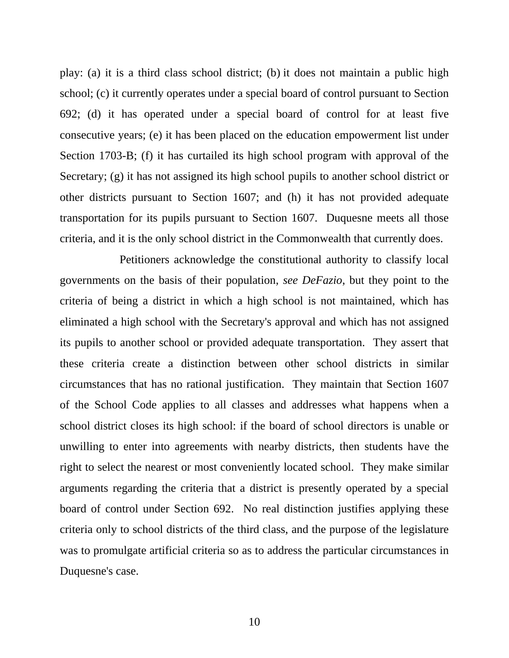play: (a) it is a third class school district; (b) it does not maintain a public high school; (c) it currently operates under a special board of control pursuant to Section 692; (d) it has operated under a special board of control for at least five consecutive years; (e) it has been placed on the education empowerment list under Section 1703-B; (f) it has curtailed its high school program with approval of the Secretary; (g) it has not assigned its high school pupils to another school district or other districts pursuant to Section 1607; and (h) it has not provided adequate transportation for its pupils pursuant to Section 1607. Duquesne meets all those criteria, and it is the only school district in the Commonwealth that currently does.

 Petitioners acknowledge the constitutional authority to classify local governments on the basis of their population, *see DeFazio*, but they point to the criteria of being a district in which a high school is not maintained, which has eliminated a high school with the Secretary's approval and which has not assigned its pupils to another school or provided adequate transportation. They assert that these criteria create a distinction between other school districts in similar circumstances that has no rational justification. They maintain that Section 1607 of the School Code applies to all classes and addresses what happens when a school district closes its high school: if the board of school directors is unable or unwilling to enter into agreements with nearby districts, then students have the right to select the nearest or most conveniently located school. They make similar arguments regarding the criteria that a district is presently operated by a special board of control under Section 692. No real distinction justifies applying these criteria only to school districts of the third class, and the purpose of the legislature was to promulgate artificial criteria so as to address the particular circumstances in Duquesne's case.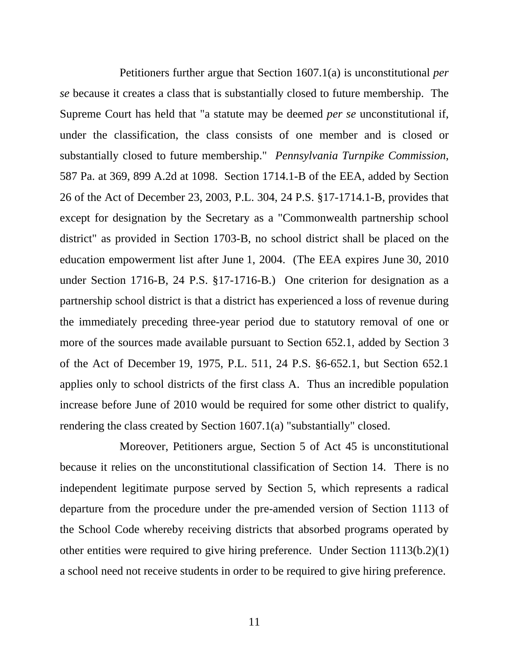Petitioners further argue that Section 1607.1(a) is unconstitutional *per se* because it creates a class that is substantially closed to future membership. The Supreme Court has held that "a statute may be deemed *per se* unconstitutional if, under the classification, the class consists of one member and is closed or substantially closed to future membership." *Pennsylvania Turnpike Commission*, 587 Pa. at 369, 899 A.2d at 1098. Section 1714.1-B of the EEA, added by Section 26 of the Act of December 23, 2003, P.L. 304, 24 P.S. §17-1714.1-B, provides that except for designation by the Secretary as a "Commonwealth partnership school district" as provided in Section 1703-B, no school district shall be placed on the education empowerment list after June 1, 2004. (The EEA expires June 30, 2010 under Section 1716-B, 24 P.S. §17-1716-B.) One criterion for designation as a partnership school district is that a district has experienced a loss of revenue during the immediately preceding three-year period due to statutory removal of one or more of the sources made available pursuant to Section 652.1, added by Section 3 of the Act of December 19, 1975, P.L. 511, 24 P.S. §6-652.1, but Section 652.1 applies only to school districts of the first class A. Thus an incredible population increase before June of 2010 would be required for some other district to qualify, rendering the class created by Section 1607.1(a) "substantially" closed.

 Moreover, Petitioners argue, Section 5 of Act 45 is unconstitutional because it relies on the unconstitutional classification of Section 14. There is no independent legitimate purpose served by Section 5, which represents a radical departure from the procedure under the pre-amended version of Section 1113 of the School Code whereby receiving districts that absorbed programs operated by other entities were required to give hiring preference. Under Section 1113(b.2)(1) a school need not receive students in order to be required to give hiring preference.

11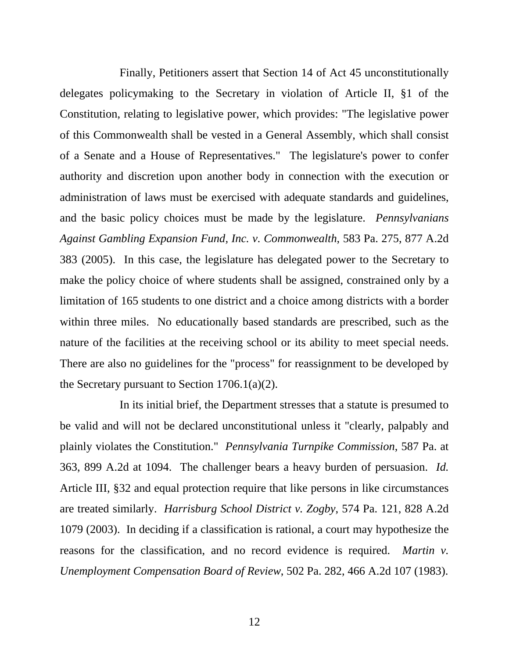Finally, Petitioners assert that Section 14 of Act 45 unconstitutionally delegates policymaking to the Secretary in violation of Article II, §1 of the Constitution, relating to legislative power, which provides: "The legislative power of this Commonwealth shall be vested in a General Assembly, which shall consist of a Senate and a House of Representatives." The legislature's power to confer authority and discretion upon another body in connection with the execution or administration of laws must be exercised with adequate standards and guidelines, and the basic policy choices must be made by the legislature. *Pennsylvanians Against Gambling Expansion Fund, Inc. v. Commonwealth*, 583 Pa. 275, 877 A.2d 383 (2005). In this case, the legislature has delegated power to the Secretary to make the policy choice of where students shall be assigned, constrained only by a limitation of 165 students to one district and a choice among districts with a border within three miles. No educationally based standards are prescribed, such as the nature of the facilities at the receiving school or its ability to meet special needs. There are also no guidelines for the "process" for reassignment to be developed by the Secretary pursuant to Section  $1706.1(a)(2)$ .

 In its initial brief, the Department stresses that a statute is presumed to be valid and will not be declared unconstitutional unless it "clearly, palpably and plainly violates the Constitution." *Pennsylvania Turnpike Commission*, 587 Pa. at 363, 899 A.2d at 1094. The challenger bears a heavy burden of persuasion. *Id.* Article III, §32 and equal protection require that like persons in like circumstances are treated similarly. *Harrisburg School District v. Zogby*, 574 Pa. 121, 828 A.2d 1079 (2003). In deciding if a classification is rational, a court may hypothesize the reasons for the classification, and no record evidence is required. *Martin v. Unemployment Compensation Board of Review*, 502 Pa. 282, 466 A.2d 107 (1983).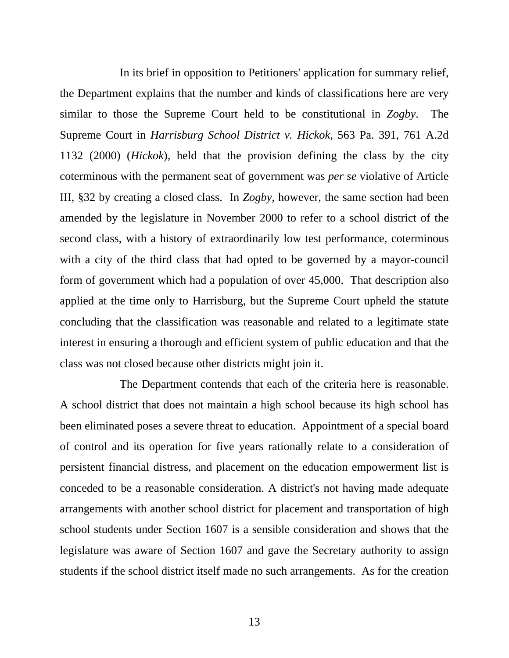In its brief in opposition to Petitioners' application for summary relief, the Department explains that the number and kinds of classifications here are very similar to those the Supreme Court held to be constitutional in *Zogby*. The Supreme Court in *Harrisburg School District v. Hickok*, 563 Pa. 391, 761 A.2d 1132 (2000) (*Hickok*), held that the provision defining the class by the city coterminous with the permanent seat of government was *per se* violative of Article III, §32 by creating a closed class. In *Zogby*, however, the same section had been amended by the legislature in November 2000 to refer to a school district of the second class, with a history of extraordinarily low test performance, coterminous with a city of the third class that had opted to be governed by a mayor-council form of government which had a population of over 45,000. That description also applied at the time only to Harrisburg, but the Supreme Court upheld the statute concluding that the classification was reasonable and related to a legitimate state interest in ensuring a thorough and efficient system of public education and that the class was not closed because other districts might join it.

 The Department contends that each of the criteria here is reasonable. A school district that does not maintain a high school because its high school has been eliminated poses a severe threat to education. Appointment of a special board of control and its operation for five years rationally relate to a consideration of persistent financial distress, and placement on the education empowerment list is conceded to be a reasonable consideration. A district's not having made adequate arrangements with another school district for placement and transportation of high school students under Section 1607 is a sensible consideration and shows that the legislature was aware of Section 1607 and gave the Secretary authority to assign students if the school district itself made no such arrangements. As for the creation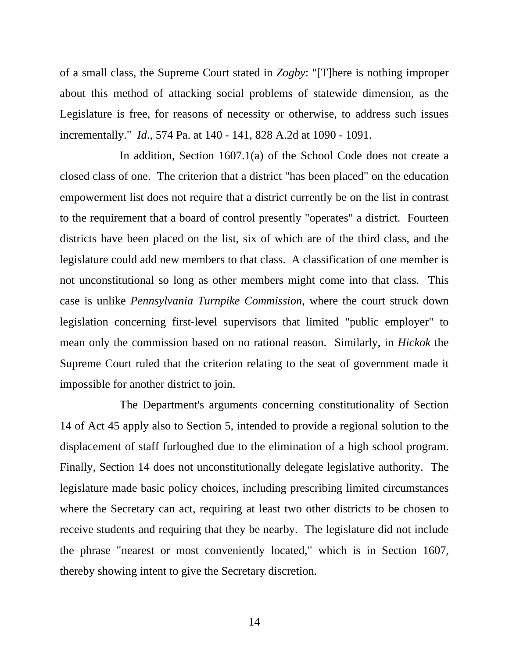of a small class, the Supreme Court stated in *Zogby*: "[T]here is nothing improper about this method of attacking social problems of statewide dimension, as the Legislature is free, for reasons of necessity or otherwise, to address such issues incrementally." *Id*., 574 Pa. at 140 - 141, 828 A.2d at 1090 - 1091.

 In addition, Section 1607.1(a) of the School Code does not create a closed class of one. The criterion that a district "has been placed" on the education empowerment list does not require that a district currently be on the list in contrast to the requirement that a board of control presently "operates" a district. Fourteen districts have been placed on the list, six of which are of the third class, and the legislature could add new members to that class. A classification of one member is not unconstitutional so long as other members might come into that class. This case is unlike *Pennsylvania Turnpike Commission*, where the court struck down legislation concerning first-level supervisors that limited "public employer" to mean only the commission based on no rational reason. Similarly, in *Hickok* the Supreme Court ruled that the criterion relating to the seat of government made it impossible for another district to join.

 The Department's arguments concerning constitutionality of Section 14 of Act 45 apply also to Section 5, intended to provide a regional solution to the displacement of staff furloughed due to the elimination of a high school program. Finally, Section 14 does not unconstitutionally delegate legislative authority. The legislature made basic policy choices, including prescribing limited circumstances where the Secretary can act, requiring at least two other districts to be chosen to receive students and requiring that they be nearby. The legislature did not include the phrase "nearest or most conveniently located," which is in Section 1607, thereby showing intent to give the Secretary discretion.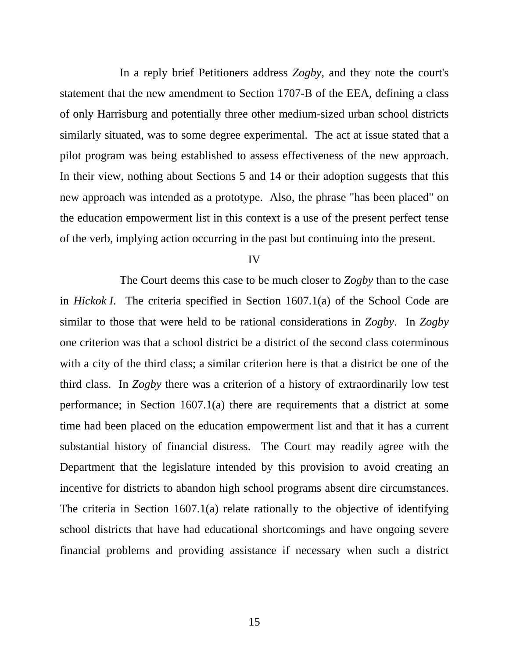In a reply brief Petitioners address *Zogby*, and they note the court's statement that the new amendment to Section 1707-B of the EEA, defining a class of only Harrisburg and potentially three other medium-sized urban school districts similarly situated, was to some degree experimental. The act at issue stated that a pilot program was being established to assess effectiveness of the new approach. In their view, nothing about Sections 5 and 14 or their adoption suggests that this new approach was intended as a prototype. Also, the phrase "has been placed" on the education empowerment list in this context is a use of the present perfect tense of the verb, implying action occurring in the past but continuing into the present.

IV

 The Court deems this case to be much closer to *Zogby* than to the case in *Hickok I*. The criteria specified in Section 1607.1(a) of the School Code are similar to those that were held to be rational considerations in *Zogby*. In *Zogby* one criterion was that a school district be a district of the second class coterminous with a city of the third class; a similar criterion here is that a district be one of the third class. In *Zogby* there was a criterion of a history of extraordinarily low test performance; in Section 1607.1(a) there are requirements that a district at some time had been placed on the education empowerment list and that it has a current substantial history of financial distress. The Court may readily agree with the Department that the legislature intended by this provision to avoid creating an incentive for districts to abandon high school programs absent dire circumstances. The criteria in Section 1607.1(a) relate rationally to the objective of identifying school districts that have had educational shortcomings and have ongoing severe financial problems and providing assistance if necessary when such a district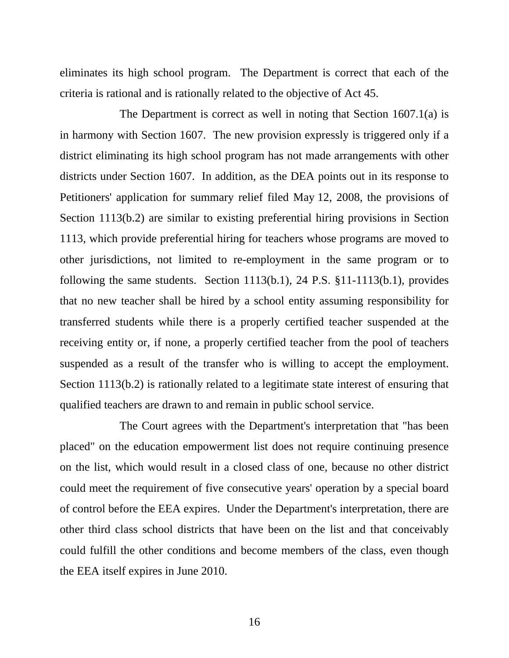eliminates its high school program. The Department is correct that each of the criteria is rational and is rationally related to the objective of Act 45.

 The Department is correct as well in noting that Section 1607.1(a) is in harmony with Section 1607. The new provision expressly is triggered only if a district eliminating its high school program has not made arrangements with other districts under Section 1607. In addition, as the DEA points out in its response to Petitioners' application for summary relief filed May 12, 2008, the provisions of Section 1113(b.2) are similar to existing preferential hiring provisions in Section 1113, which provide preferential hiring for teachers whose programs are moved to other jurisdictions, not limited to re-employment in the same program or to following the same students. Section  $1113(b.1)$ ,  $24$  P.S.  $\S 11-1113(b.1)$ , provides that no new teacher shall be hired by a school entity assuming responsibility for transferred students while there is a properly certified teacher suspended at the receiving entity or, if none, a properly certified teacher from the pool of teachers suspended as a result of the transfer who is willing to accept the employment. Section 1113(b.2) is rationally related to a legitimate state interest of ensuring that qualified teachers are drawn to and remain in public school service.

 The Court agrees with the Department's interpretation that "has been placed" on the education empowerment list does not require continuing presence on the list, which would result in a closed class of one, because no other district could meet the requirement of five consecutive years' operation by a special board of control before the EEA expires. Under the Department's interpretation, there are other third class school districts that have been on the list and that conceivably could fulfill the other conditions and become members of the class, even though the EEA itself expires in June 2010.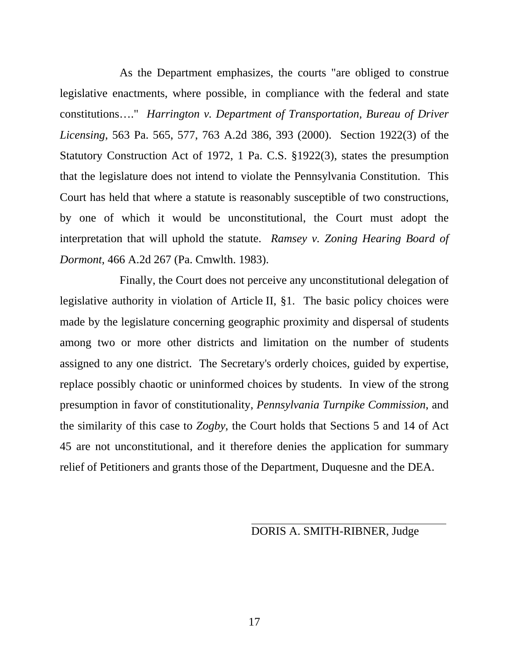As the Department emphasizes, the courts "are obliged to construe legislative enactments, where possible, in compliance with the federal and state constitutions…." *Harrington v. Department of Transportation, Bureau of Driver Licensing*, 563 Pa. 565, 577, 763 A.2d 386, 393 (2000). Section 1922(3) of the Statutory Construction Act of 1972, 1 Pa. C.S. §1922(3), states the presumption that the legislature does not intend to violate the Pennsylvania Constitution. This Court has held that where a statute is reasonably susceptible of two constructions, by one of which it would be unconstitutional, the Court must adopt the interpretation that will uphold the statute. *Ramsey v. Zoning Hearing Board of Dormont*, 466 A.2d 267 (Pa. Cmwlth. 1983).

 Finally, the Court does not perceive any unconstitutional delegation of legislative authority in violation of Article II, §1. The basic policy choices were made by the legislature concerning geographic proximity and dispersal of students among two or more other districts and limitation on the number of students assigned to any one district. The Secretary's orderly choices, guided by expertise, replace possibly chaotic or uninformed choices by students. In view of the strong presumption in favor of constitutionality, *Pennsylvania Turnpike Commission*, and the similarity of this case to *Zogby*, the Court holds that Sections 5 and 14 of Act 45 are not unconstitutional, and it therefore denies the application for summary relief of Petitioners and grants those of the Department, Duquesne and the DEA.

DORIS A. SMITH-RIBNER, Judge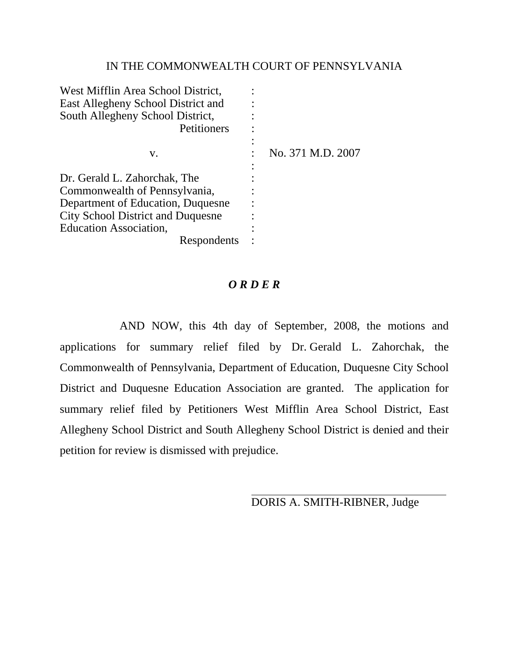#### IN THE COMMONWEALTH COURT OF PENNSYLVANIA

| West Mifflin Area School District,<br>East Allegheny School District and<br>South Allegheny School District,<br>Petitioners                                                     |                   |
|---------------------------------------------------------------------------------------------------------------------------------------------------------------------------------|-------------------|
| V.                                                                                                                                                                              | No. 371 M.D. 2007 |
| Dr. Gerald L. Zahorchak, The<br>Commonwealth of Pennsylvania,<br>Department of Education, Duquesne<br><b>City School District and Duquesne</b><br><b>Education Association,</b> |                   |
| Respondents                                                                                                                                                                     |                   |

## *O R D E R*

 AND NOW, this 4th day of September, 2008, the motions and applications for summary relief filed by Dr. Gerald L. Zahorchak, the Commonwealth of Pennsylvania, Department of Education, Duquesne City School District and Duquesne Education Association are granted. The application for summary relief filed by Petitioners West Mifflin Area School District, East Allegheny School District and South Allegheny School District is denied and their petition for review is dismissed with prejudice.

DORIS A. SMITH-RIBNER, Judge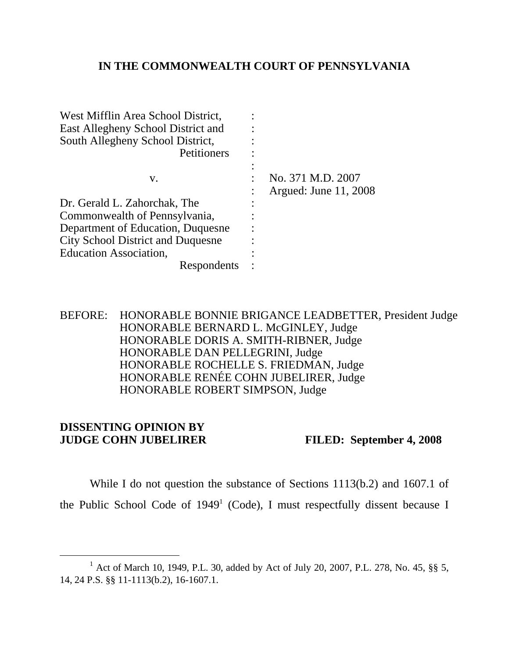## **IN THE COMMONWEALTH COURT OF PENNSYLVANIA**

| West Mifflin Area School District,<br>East Allegheny School District and<br>South Allegheny School District,<br>Petitioners |                                            |
|-----------------------------------------------------------------------------------------------------------------------------|--------------------------------------------|
| V.                                                                                                                          | No. 371 M.D. 2007<br>Argued: June 11, 2008 |
| Dr. Gerald L. Zahorchak, The                                                                                                |                                            |
| Commonwealth of Pennsylvania,                                                                                               |                                            |
| Department of Education, Duquesne                                                                                           |                                            |
| <b>City School District and Duquesne</b>                                                                                    |                                            |
| Education Association,                                                                                                      |                                            |
| Respondents                                                                                                                 |                                            |

BEFORE: HONORABLE BONNIE BRIGANCE LEADBETTER, President Judge HONORABLE BERNARD L. McGINLEY, Judge HONORABLE DORIS A. SMITH-RIBNER, Judge HONORABLE DAN PELLEGRINI, Judge HONORABLE ROCHELLE S. FRIEDMAN, Judge HONORABLE RENÉE COHN JUBELIRER, Judge HONORABLE ROBERT SIMPSON, Judge

## **DISSENTING OPINION BY JUDGE COHN JUBELIRER FILED: September 4, 2008**

While I do not question the substance of Sections 1113(b.2) and 1607.1 of the Public School Code of  $1949<sup>1</sup>$  (Code), I must respectfully dissent because I

<sup>&</sup>lt;u>1</u> <sup>1</sup> Act of March 10, 1949, P.L. 30, added by Act of July 20, 2007, P.L. 278, No. 45, §§ 5, 14, 24 P.S. §§ 11-1113(b.2), 16-1607.1.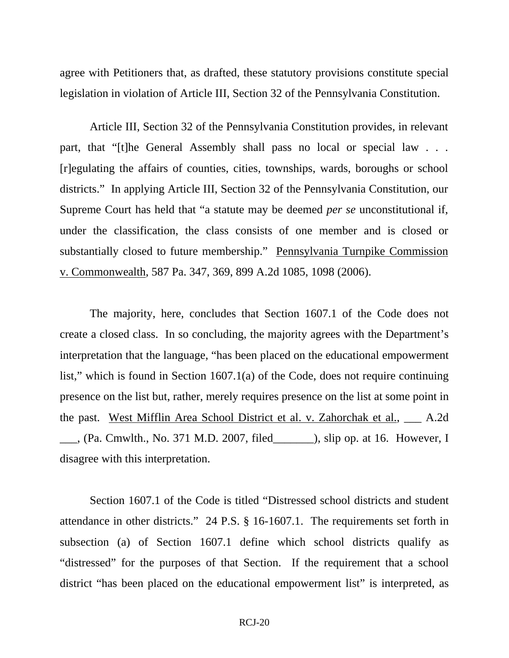agree with Petitioners that, as drafted, these statutory provisions constitute special legislation in violation of Article III, Section 32 of the Pennsylvania Constitution.

Article III, Section 32 of the Pennsylvania Constitution provides, in relevant part, that "[t]he General Assembly shall pass no local or special law . . . [r]egulating the affairs of counties, cities, townships, wards, boroughs or school districts." In applying Article III, Section 32 of the Pennsylvania Constitution, our Supreme Court has held that "a statute may be deemed *per se* unconstitutional if, under the classification, the class consists of one member and is closed or substantially closed to future membership." Pennsylvania Turnpike Commission v. Commonwealth, 587 Pa. 347, 369, 899 A.2d 1085, 1098 (2006).

 The majority, here, concludes that Section 1607.1 of the Code does not create a closed class. In so concluding, the majority agrees with the Department's interpretation that the language, "has been placed on the educational empowerment list," which is found in Section  $1607.1(a)$  of the Code, does not require continuing presence on the list but, rather, merely requires presence on the list at some point in the past. West Mifflin Area School District et al. v. Zahorchak et al., \_\_\_ A.2d  $\_\_\_\_\_\$ , (Pa. Cmwlth., No. 371 M.D. 2007, filed  $\_\_\_\_\_\_\$  slip op. at 16. However, I disagree with this interpretation.

 Section 1607.1 of the Code is titled "Distressed school districts and student attendance in other districts." 24 P.S. § 16-1607.1. The requirements set forth in subsection (a) of Section 1607.1 define which school districts qualify as "distressed" for the purposes of that Section. If the requirement that a school district "has been placed on the educational empowerment list" is interpreted, as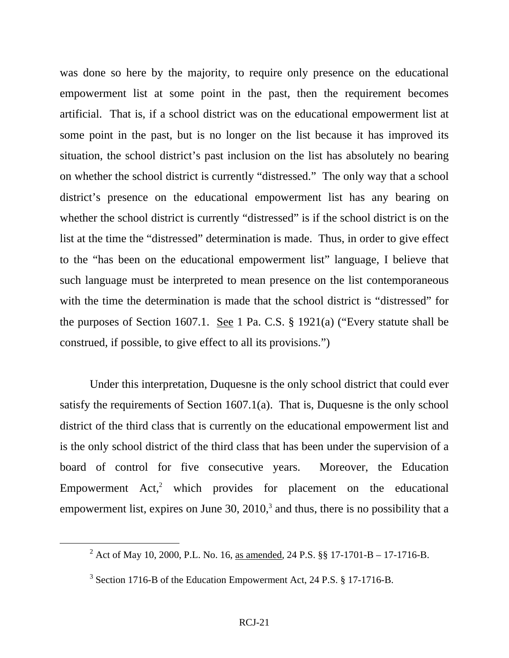was done so here by the majority, to require only presence on the educational empowerment list at some point in the past, then the requirement becomes artificial. That is, if a school district was on the educational empowerment list at some point in the past, but is no longer on the list because it has improved its situation, the school district's past inclusion on the list has absolutely no bearing on whether the school district is currently "distressed." The only way that a school district's presence on the educational empowerment list has any bearing on whether the school district is currently "distressed" is if the school district is on the list at the time the "distressed" determination is made. Thus, in order to give effect to the "has been on the educational empowerment list" language, I believe that such language must be interpreted to mean presence on the list contemporaneous with the time the determination is made that the school district is "distressed" for the purposes of Section 1607.1. See 1 Pa. C.S.  $\S$  1921(a) ("Every statute shall be construed, if possible, to give effect to all its provisions.")

 Under this interpretation, Duquesne is the only school district that could ever satisfy the requirements of Section 1607.1(a). That is, Duquesne is the only school district of the third class that is currently on the educational empowerment list and is the only school district of the third class that has been under the supervision of a board of control for five consecutive years. Moreover, the Education Empowerment  $Act<sub>1</sub><sup>2</sup>$  which provides for placement on the educational empowerment list, expires on June  $30$ ,  $2010$ , and thus, there is no possibility that a

 $\frac{1}{2}$ <sup>2</sup> Act of May 10, 2000, P.L. No. 16, as amended, 24 P.S. §§ 17-1701-B – 17-1716-B.

 $3$  Section 1716-B of the Education Empowerment Act, 24 P.S. § 17-1716-B.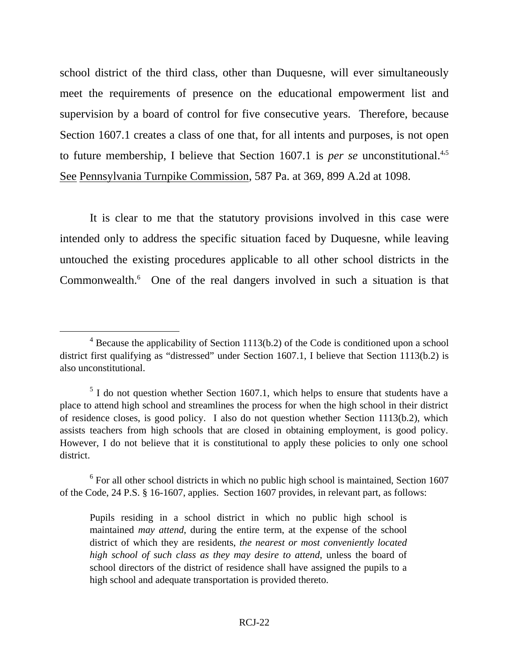school district of the third class, other than Duquesne, will ever simultaneously meet the requirements of presence on the educational empowerment list and supervision by a board of control for five consecutive years. Therefore, because Section 1607.1 creates a class of one that, for all intents and purposes, is not open to future membership, I believe that Section 1607.1 is *per se* unconstitutional.<sup>4,5</sup> See Pennsylvania Turnpike Commission, 587 Pa. at 369, 899 A.2d at 1098.

 It is clear to me that the statutory provisions involved in this case were intended only to address the specific situation faced by Duquesne, while leaving untouched the existing procedures applicable to all other school districts in the Commonwealth.<sup>6</sup> One of the real dangers involved in such a situation is that

 $\overline{\phantom{a}}$  $4$  Because the applicability of Section 1113(b.2) of the Code is conditioned upon a school district first qualifying as "distressed" under Section 1607.1, I believe that Section 1113(b.2) is also unconstitutional.

 $<sup>5</sup>$  I do not question whether Section 1607.1, which helps to ensure that students have a</sup> place to attend high school and streamlines the process for when the high school in their district of residence closes, is good policy. I also do not question whether Section 1113(b.2), which assists teachers from high schools that are closed in obtaining employment, is good policy. However, I do not believe that it is constitutional to apply these policies to only one school district.

<sup>&</sup>lt;sup>6</sup> For all other school districts in which no public high school is maintained, Section 1607 of the Code, 24 P.S. § 16-1607, applies. Section 1607 provides, in relevant part, as follows:

Pupils residing in a school district in which no public high school is maintained *may attend*, during the entire term, at the expense of the school district of which they are residents, *the nearest or most conveniently located high school of such class as they may desire to attend*, unless the board of school directors of the district of residence shall have assigned the pupils to a high school and adequate transportation is provided thereto.